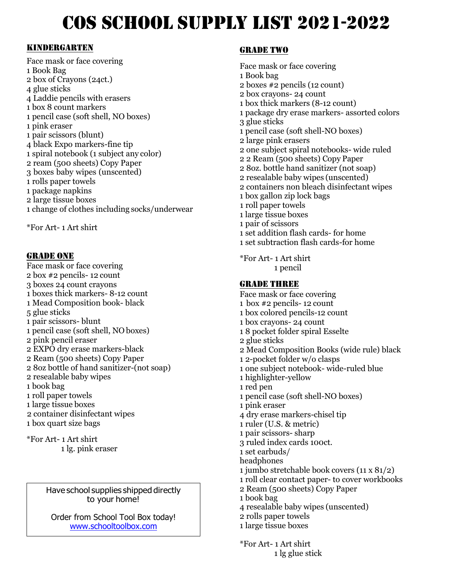# COS SCHOOL SUPPLY LIST 2021-2022

### Kindergarten

F Face mask or face covering 1 Book Bag<br>2 box of Crayons (24ct.)<br>. 1 Book Bag 4 glue sticks 4 Laddie pencils with erasers 1 box 8 count markers 1 pencil case (soft shell, NO boxes) 1 pink eraser 1 pair scissors (blunt) 4 black Expo markers-fine tip 1 spiral notebook (1 subject any color) 2 ream (500 sheets) Copy Paper 3 boxes baby wipes (unscented) 1 rolls paper towels 1 package napkins 2 large tissue boxes 1 change of clothes including socks/underwear

\*For Art- 1 Art shirt

### GRADE ONE

- Face mask or face covering 2 box #2 pencils- 12 count 3 boxes 24 count crayons 1 boxes thick markers- 8-12 count 1 Mead Composition book- black 5 glue sticks 1 pair scissors- blunt 1 pencil case (soft shell, NO boxes) 2 pink pencil eraser 2 EXPO dry erase markers-black 2 Ream (500 sheets) Copy Paper 2 8oz bottle of hand sanitizer-(not soap) 2 resealable baby wipes 1 book bag 1 roll paper towels 1 large tissue boxes 2 container disinfectant wipes 1 box quart size bags
- \*For Art- 1 Art shirt 1 lg. pink eraser

Have school supplies shipped directly to your home!

Order from School Tool Box today! [www.schooltoolbox.com](http://www.schooltoolbox.com/)

### Grade two

Face mask or face covering 1 Book bag 2 boxes #2 pencils (12 count) 2 box crayons- 24 count 1 box thick markers (8-12 count) 1 package dry erase markers- assorted colors 3 glue sticks 1 pencil case (soft shell-NO boxes) 2 large pink erasers 2 one subject spiral notebooks- wide ruled 2 2 Ream (500 sheets) Copy Paper 2 8oz. bottle hand sanitizer (not soap) 2 resealable baby wipes (unscented) 2 containers non bleach disinfectant wipes 1 box gallon zip lock bags 1 roll paper towels 1 large tissue boxes 1 pair of scissors 1 set addition flash cards- for home 1 set subtraction flash cards-for home

\*For Art- 1 Art shirt 1 pencil

### GRADE THREE

Face mask or face covering 1 box #2 pencils- 12 count 1 box colored pencils-12 count 1 box crayons- 24 count 1 8 pocket folder spiral Esselte 2 glue sticks 2 Mead Composition Books (wide rule) black 1 2-pocket folder w/o clasps 1 one subject notebook- wide-ruled blue 1 highlighter-yellow 1 red pen 1 pencil case (soft shell-NO boxes) 1 pink eraser 4 dry erase markers-chisel tip 1 ruler (U.S. & metric) 1 pair scissors- sharp 3 ruled index cards 100ct. 1 set earbuds/ headphones 1 jumbo stretchable book covers (11 x 81/2) 1 roll clear contact paper- to cover workbooks 2 Ream (500 sheets) Copy Paper 1 book bag 4 resealable baby wipes (unscented) 2 rolls paper towels 1 large tissue boxes

\*For Art- 1 Art shirt 1 lg glue stick